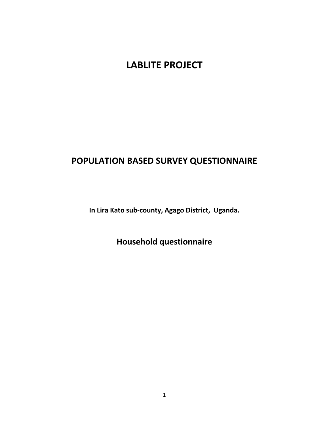# **LABLITE PROJECT**

# **POPULATION BASED SURVEY QUESTIONNAIRE**

**In Lira Kato sub-county, Agago District, Uganda.**

**Household questionnaire**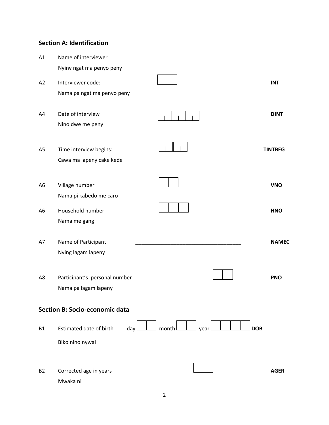# **Section A: Identification**

| A1             | Name of interviewer                   |                             |                |
|----------------|---------------------------------------|-----------------------------|----------------|
|                | Nyiny ngat ma penyo peny              |                             |                |
| A2             | Interviewer code:                     |                             | <b>INT</b>     |
|                | Nama pa ngat ma penyo peny            |                             |                |
|                |                                       |                             |                |
| A4             | Date of interview                     |                             | <b>DINT</b>    |
|                | Nino dwe me peny                      |                             |                |
|                |                                       |                             |                |
| A <sub>5</sub> | Time interview begins:                |                             | <b>TINTBEG</b> |
|                | Cawa ma lapeny cake kede              |                             |                |
|                |                                       |                             |                |
| A <sub>6</sub> | Village number                        |                             | <b>VNO</b>     |
|                | Nama pi kabedo me caro                |                             |                |
| A <sub>6</sub> | Household number                      |                             | <b>HNO</b>     |
|                | Nama me gang                          |                             |                |
|                |                                       |                             |                |
| A7             | Name of Participant                   |                             | <b>NAMEC</b>   |
|                | Nying lagam lapeny                    |                             |                |
|                |                                       |                             |                |
| A8             | Participant's personal number         |                             | <b>PNO</b>     |
|                | Nama pa lagam lapeny                  |                             |                |
|                | <b>Section B: Socio-economic data</b> |                             |                |
|                |                                       |                             |                |
| <b>B1</b>      | Estimated date of birth<br>day        | <b>DOB</b><br>month<br>year |                |
|                | Biko nino nywal                       |                             |                |
|                |                                       |                             |                |
| <b>B2</b>      | Corrected age in years                |                             | <b>AGER</b>    |
|                | Mwaka ni                              |                             |                |
|                |                                       |                             |                |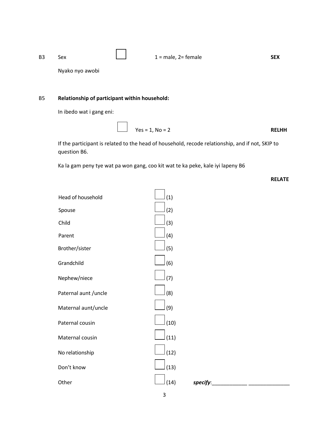| B3 | Sex             | $1 = male$ , $2 = female$ | <b>SEX</b> |
|----|-----------------|---------------------------|------------|
|    | Nyako nyo awobi |                           |            |

# B5 **Relationship of participant within household:**

In ibedo wat i gang eni:

$$
Yes = 1, No = 2
$$
 **RELHH**

If the participant is related to the head of household, recode relationship, and if not, SKIP to question B6.

Ka la gam peny tye wat pa won gang, coo kit wat te ka peke, kale iyi lapeny B6

**RELATE**

| Head of household     | (1)  |
|-----------------------|------|
| Spouse                | (2)  |
| Child                 | (3)  |
| Parent                | (4)  |
| Brother/sister        | (5)  |
| Grandchild            | (6)  |
| Nephew/niece          | (7)  |
| Paternal aunt / uncle | (8)  |
| Maternal aunt/uncle   | (9)  |
| Paternal cousin       | (10) |
| Maternal cousin       | (11) |
| No relationship       | (12) |
| Don't know            | (13) |
| Other                 | (14) |
|                       |      |

3

Other (14) *specify*:\_\_\_\_\_\_\_\_\_\_\_\_ \_\_\_\_\_\_\_\_\_\_\_\_\_\_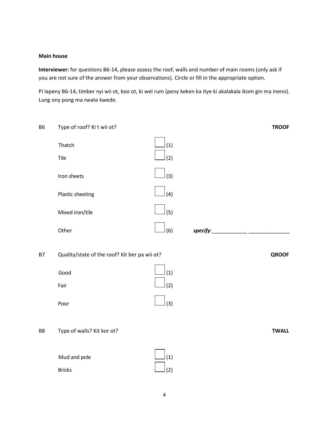#### **Main house**

**Interviewer:** for questions B6-14, please assess the roof, walls and number of main rooms (only ask if you are not sure of the answer from your observations). Circle or fill in the appropriate option.

Pi lapeny B6-14, timber nyi wii ot, koo ot, ki wel rum (peny keken ka itye ki akalakala ikom gin ma ineno). Lung ony pong ma rwate kwede.

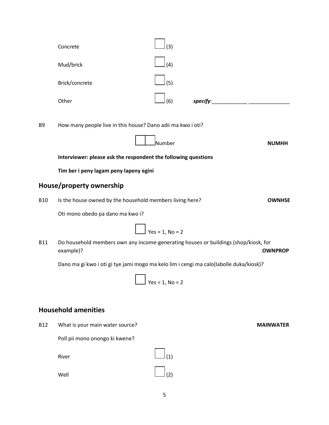| Concrete       | (3)           |          |  |
|----------------|---------------|----------|--|
| Mud/brick      | $\vert$ (4)   |          |  |
| Brick/concrete | $\rfloor$ (5) |          |  |
| Other          | $\rfloor$ (6) | specify: |  |

B9 How many people live in this house? Dano adii ma kwo i oti?

Number **NUMHH**

**Interviewer: please ask the respondent the following questions**

**Tim ber i peny lagam peny lapeny egini** 

# **House/property ownership**

B10 Is the house owned by the household members living here? **OWNHSE**

Oti mono obedo pa dano ma kwo i?

 $\rfloor$  Yes = 1. No = 2

B11 Do household members own any income-generating houses or buildings (shop/kiosk, for example)? **OWNPROP**

Dano ma gi kwo i oti gi tye jami mogo ma kelo lim i cengi ma calo(labolle duka/kiosk)?

$$
Yes = 1, No = 2
$$

# **Household amenities**

B12 What is your main water source? **MAINWATER**

Poll pii mono onongo ki kwene?

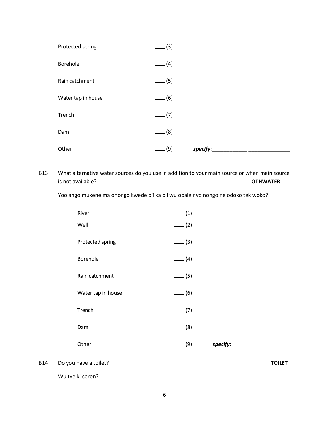

B13 What alternative water sources do you use in addition to your main source or when main source is not available? **OTHWATER**

Yoo ango mukene ma onongo kwede pii ka pii wu obale nyo nongo ne odoko tek woko?



B14 Do you have a toilet? **TOILET**

Wu tye ki coron?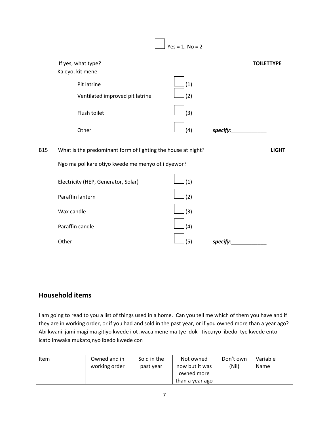

# **Household items**

I am going to read to you a list of things used in a home. Can you tell me which of them you have and if they are in working order, or if you had and sold in the past year, or if you owned more than a year ago? Abi kwani jami magi ma gitiyo kwede i ot .waca mene ma tye dok tiyo,nyo ibedo tye kwede ento icato imwaka mukato,nyo ibedo kwede con

| <b>Item</b> | Owned and in<br>working order | Sold in the<br>past year | Not owned<br>now but it was<br>owned more | Don't own<br>(Nil) | Variable<br><b>Name</b> |
|-------------|-------------------------------|--------------------------|-------------------------------------------|--------------------|-------------------------|
|             |                               |                          | than a year ago                           |                    |                         |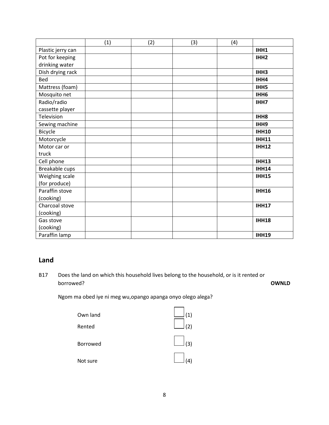|                   | (1) | (2) | (3) | (4) |                  |
|-------------------|-----|-----|-----|-----|------------------|
| Plastic jerry can |     |     |     |     | IHH1             |
| Pot for keeping   |     |     |     |     | IHH <sub>2</sub> |
| drinking water    |     |     |     |     |                  |
| Dish drying rack  |     |     |     |     | IHH3             |
| Bed               |     |     |     |     | IHH4             |
| Mattress (foam)   |     |     |     |     | IHH5             |
| Mosquito net      |     |     |     |     | IHH <sub>6</sub> |
| Radio/radio       |     |     |     |     | IHH7             |
| cassette player   |     |     |     |     |                  |
| Television        |     |     |     |     | IHH <sub>8</sub> |
| Sewing machine    |     |     |     |     | IHH9             |
| Bicycle           |     |     |     |     | <b>IHH10</b>     |
| Motorcycle        |     |     |     |     | <b>IHH11</b>     |
| Motor car or      |     |     |     |     | <b>IHH12</b>     |
| truck             |     |     |     |     |                  |
| Cell phone        |     |     |     |     | <b>IHH13</b>     |
| Breakable cups    |     |     |     |     | <b>IHH14</b>     |
| Weighing scale    |     |     |     |     | <b>IHH15</b>     |
| (for produce)     |     |     |     |     |                  |
| Paraffin stove    |     |     |     |     | <b>IHH16</b>     |
| (cooking)         |     |     |     |     |                  |
| Charcoal stove    |     |     |     |     | <b>IHH17</b>     |
| (cooking)         |     |     |     |     |                  |
| Gas stove         |     |     |     |     | <b>IHH18</b>     |
| (cooking)         |     |     |     |     |                  |
| Paraffin lamp     |     |     |     |     | <b>IHH19</b>     |

# **Land**

B17 Does the land on which this household lives belong to the household, or is it rented or borrowed? **OWNLD**

Ngom ma obed iye ni meg wu,opango apanga onyo olego alega?

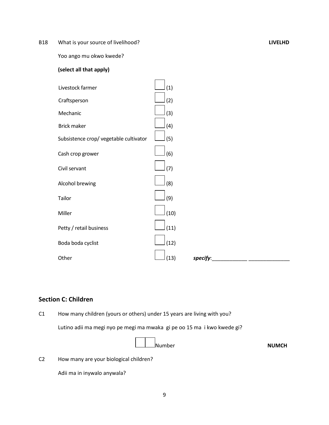B18 What is your source of livelihood? **LIVELHD**

Yoo ango mu okwo kwede?

## **(select all that apply)**

| Livestock farmer                       | (1)              |
|----------------------------------------|------------------|
| Craftsperson                           | (2)              |
| Mechanic                               | (3)              |
| <b>Brick maker</b>                     | (4)              |
| Subsistence crop/ vegetable cultivator | (5)              |
| Cash crop grower                       | (6)              |
| Civil servant                          | (7)              |
| Alcohol brewing                        | (8)              |
| Tailor                                 | (9)              |
| Miller                                 | (10)             |
| Petty / retail business                | (11)             |
| Boda boda cyclist                      | (12)             |
| Other                                  | (13)<br>specify: |

# **Section C: Children**

C1 How many children (yours or others) under 15 years are living with you?

Lutino adii ma megi nyo pe megi ma mwaka gi pe oo 15 ma i kwo kwede gi?

| <u>_l</u> ____Number | <b>NUMCH</b> |
|----------------------|--------------|
|                      |              |

C2 How many are your biological children?

Adii ma in inywalo anywala?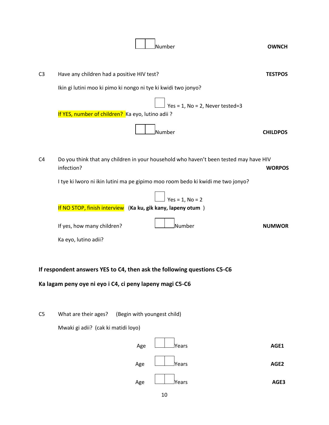|                | <b>Number</b>                                                                                                                       | <b>OWNCH</b>    |
|----------------|-------------------------------------------------------------------------------------------------------------------------------------|-----------------|
| C <sub>3</sub> | Have any children had a positive HIV test?<br>Ikin gi lutini moo ki pimo ki nongo ni tye ki kwidi two jonyo?                        | <b>TESTPOS</b>  |
|                | Yes = $1$ , No = $2$ , Never tested=3<br>If YES, number of children? Ka eyo, lutino adii ?                                          |                 |
| C <sub>4</sub> | <b>N</b> umber<br>Do you think that any children in your household who haven't been tested may have HIV                             | <b>CHILDPOS</b> |
|                | infection?<br>I tye ki lworo ni ikin lutini ma pe gipimo moo room bedo ki kwidi me two jonyo?                                       | <b>WORPOS</b>   |
|                | $Yes = 1, No = 2$<br>If NO STOP, finish interview (Ka ku, gik kany, lapeny otum)                                                    |                 |
|                | <b>N</b> umber<br>If yes, how many children?<br>Ka eyo, lutino adii?                                                                | <b>NUMWOR</b>   |
|                | If respondent answers YES to C4, then ask the following questions C5-C6<br>Ka lagam peny oye ni eyo i C4, ci peny lapeny magi C5-C6 |                 |
| C <sub>5</sub> | What are their ages?<br>(Begin with youngest child)                                                                                 |                 |
|                | Mwaki gi adii? (cak ki matidi loyo)<br>Age<br>Years                                                                                 | AGE1            |
|                | lYears<br>Age                                                                                                                       | AGE2            |
|                | Years<br>Age<br>10                                                                                                                  | AGE3            |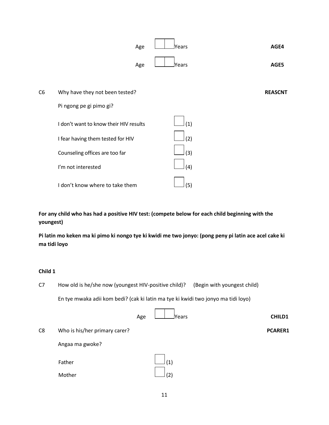

**For any child who has had a positive HIV test: (compete below for each child beginning with the youngest)**

**Pi latin mo keken ma ki pimo ki nongo tye ki kwidi me two jonyo: (pong peny pi latin ace acel cake ki ma tidi loyo**

### **Child 1**

C7 How old is he/she now (youngest HIV-positive child)? (Begin with youngest child)

En tye mwaka adii kom bedi? (cak ki latin ma tye ki kwidi two jonyo ma tidi loyo)

|                |                               | Age | <b>Pears</b> | <b>CHILD1</b>  |  |
|----------------|-------------------------------|-----|--------------|----------------|--|
| C <sub>8</sub> | Who is his/her primary carer? |     |              | <b>PCARER1</b> |  |
|                | Angaa ma gwoke?               |     |              |                |  |
|                | Father                        |     | (1)          |                |  |
|                | Mother                        |     | (2)          |                |  |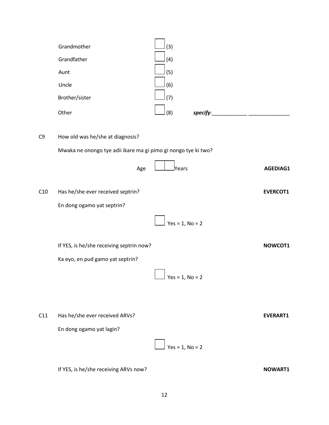|                | Grandmother                                                    | (3)               |                 |
|----------------|----------------------------------------------------------------|-------------------|-----------------|
|                | Grandfather                                                    | (4)               |                 |
|                | Aunt                                                           | (5)               |                 |
|                | Uncle                                                          | (6)               |                 |
|                | Brother/sister                                                 | (7)               |                 |
|                | Other                                                          | (8)<br>specify:   |                 |
| C <sub>9</sub> | How old was he/she at diagnosis?                               |                   |                 |
|                | Mwaka ne onongo tye adii ikare ma gi pimo gi nongo tye ki two? |                   |                 |
|                | Age                                                            | <b>Pears</b>      | AGEDIAG1        |
| C10            | Has he/she ever received septrin?                              |                   | <b>EVERCOT1</b> |
|                | En dong ogamo yat septrin?                                     |                   |                 |
|                |                                                                | $Yes = 1, No = 2$ |                 |
|                | If YES, is he/she receiving septrin now?                       |                   | NOWCOT1         |
|                | Ka eyo, en pud gamo yat septrin?                               |                   |                 |
|                |                                                                | $Yes = 1, No = 2$ |                 |
|                |                                                                |                   |                 |
| C11            | Has he/she ever received ARVs?                                 |                   | <b>EVERART1</b> |
|                | En dong ogamo yat lagin?                                       |                   |                 |
|                |                                                                | $Yes = 1, No = 2$ |                 |

If YES, is he/she receiving ARVs now?<br>
NOWART1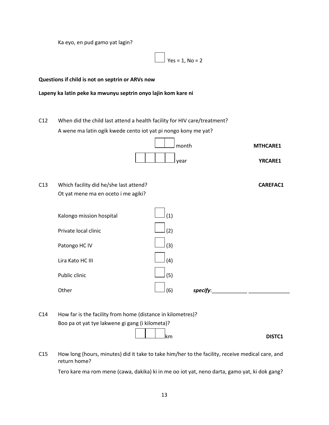Ka eyo, en pud gamo yat lagin?

 $Yes = 1, No = 2$ 

**Questions if child is not on septrin or ARVs now**

#### **Lapeny ka latin peke ka mwunyu septrin onyo lajin kom kare ni**

C12 When did the child last attend a health facility for HIV care/treatment? A wene ma latin ogik kwede cento iot yat pi nongo kony me yat?



C13 Which facility did he/she last attend? **CAREFAC1** Ot yat mene ma en oceto i me agiki?



C14 How far is the facility from home (distance in kilometres)? Boo pa ot yat tye lakwene gi gang (i kilometa)?

**km** DISTC1

C15 How long (hours, minutes) did it take to take him/her to the facility, receive medical care, and return home?

Tero kare ma rom mene (cawa, dakika) ki in me oo iot yat, neno darta, gamo yat, ki dok gang?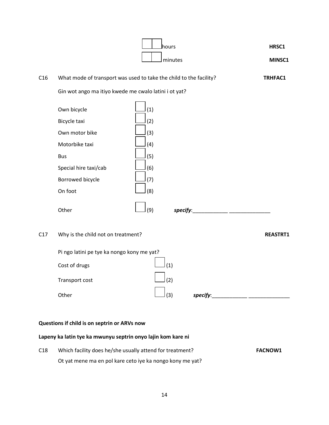|                                              |                                                                                                                                                | lhours<br>minutes                                                       | HRSC1<br>MINSC1 |  |  |
|----------------------------------------------|------------------------------------------------------------------------------------------------------------------------------------------------|-------------------------------------------------------------------------|-----------------|--|--|
| C16                                          |                                                                                                                                                | What mode of transport was used to take the child to the facility?      | <b>TRHFAC1</b>  |  |  |
|                                              | Gin wot ango ma itiyo kwede me cwalo latini i ot yat?                                                                                          |                                                                         |                 |  |  |
|                                              | Own bicycle<br>Bicycle taxi<br>Own motor bike<br>Motorbike taxi<br><b>Bus</b><br>Special hire taxi/cab<br>Borrowed bicycle<br>On foot<br>Other | (1)<br>(2)<br>(3)<br>(4)<br>(5)<br>(6)<br>(7)<br>(8)<br>(9)<br>specify: |                 |  |  |
| C17                                          | Why is the child not on treatment?                                                                                                             |                                                                         | <b>REASTRT1</b> |  |  |
|                                              | Pi ngo latini pe tye ka nongo kony me yat?<br>Cost of drugs<br>Transport cost<br>Other                                                         | (1)<br>(2)<br>specify:<br>(3)                                           |                 |  |  |
| Questions if child is on septrin or ARVs now |                                                                                                                                                |                                                                         |                 |  |  |
|                                              | Lapeny ka latin tye ka mwunyu septrin onyo lajin kom kare ni                                                                                   |                                                                         |                 |  |  |
| C18                                          | Which facility does he/she usually attend for treatment?                                                                                       |                                                                         | <b>FACNOW1</b>  |  |  |

Ot yat mene ma en pol kare ceto iye ka nongo kony me yat?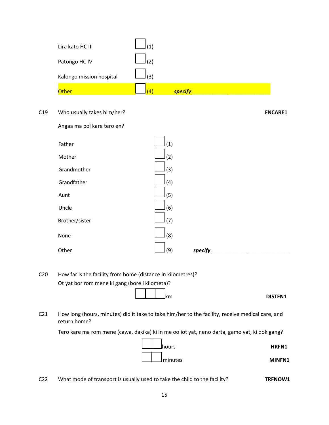| Lira kato HC III         | (1) |          |
|--------------------------|-----|----------|
| Patongo HC IV            | (2) |          |
| Kalongo mission hospital | (3) |          |
| Other                    | (4) | specify: |

C19 Who usually takes him/her? **FNCARE1**

Angaa ma pol kare tero en?

| Father<br>(1)<br>Mother<br>(2)<br>Grandmother<br>(3)<br>Grandfather<br>(4)<br>(5)<br>Aunt<br>Uncle<br>(6)<br>Brother/sister<br>(7)<br>(8)<br>None<br>Other<br>(9)<br>specify: |  |  |  |
|-------------------------------------------------------------------------------------------------------------------------------------------------------------------------------|--|--|--|
|                                                                                                                                                                               |  |  |  |
|                                                                                                                                                                               |  |  |  |
|                                                                                                                                                                               |  |  |  |
|                                                                                                                                                                               |  |  |  |
|                                                                                                                                                                               |  |  |  |
|                                                                                                                                                                               |  |  |  |
|                                                                                                                                                                               |  |  |  |
|                                                                                                                                                                               |  |  |  |
|                                                                                                                                                                               |  |  |  |

C20 How far is the facility from home (distance in kilometres)? Ot yat bor rom mene ki gang (bore i kilometa)?



C21 How long (hours, minutes) did it take to take him/her to the facility, receive medical care, and return home?

Tero kare ma rom mene (cawa, dakika) ki in me oo iot yat, neno darta, gamo yat, ki dok gang?



C22 What mode of transport is usually used to take the child to the facility? TRFNOW1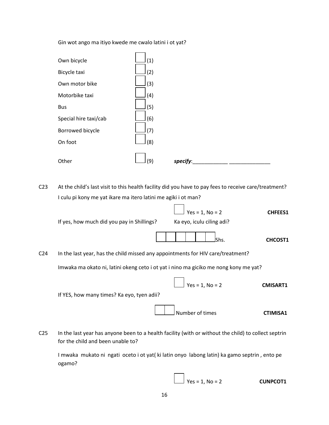Gin wot ango ma itiyo kwede me cwalo latini i ot yat?



C23 At the child's last visit to this health facility did you have to pay fees to receive care/treatment? I culu pi kony me yat ikare ma itero latini me agiki i ot man?

Yes = 1, No = 2 **CHFEES1** If yes, how much did you pay in Shillings? Ka eyo, iculu ciling adi? Shs. **CHCOST1** C24 In the last year, has the child missed any appointments for HIV care/treatment? Imwaka ma okato ni, latini okeng ceto i ot yat i nino ma giciko me nong kony me yat? Yes = 1, No = 2 **CMISART1** If YES, how many times? Ka eyo, tyen adii?

C25 In the last year has anyone been to a health facility (with or without the child) to collect septrin for the child and been unable to?

I mwaka mukato ni ngati oceto i ot yat( ki latin onyo labong latin) ka gamo septrin , ento pe ogamo?

Yes = 1, No = 2 **CUNPCOT1**

Number of times **CTIMISA1**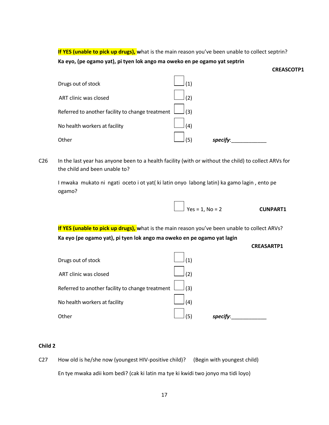**If YES (unable to pick up drugs), w**hat is the main reason you've been unable to collect septrin? **Ka eyo, (pe ogamo yat), pi tyen lok ango ma oweko en pe ogamo yat septrin**

| Drugs out of stock                               | (1) |         |
|--------------------------------------------------|-----|---------|
| ART clinic was closed                            | (2) |         |
| Referred to another facility to change treatment | (3) |         |
| No health workers at facility                    | (4) |         |
| Other                                            | (5) | specify |

C26 In the last year has anyone been to a health facility (with or without the child) to collect ARVs for the child and been unable to?

I mwaka mukato ni ngati oceto i ot yat( ki latin onyo labong latin) ka gamo lagin , ento pe ogamo?

| $\angle$ Yes = 1, No = 2 | <b>CUNPART1</b> |
|--------------------------|-----------------|

**If YES (unable to pick up drugs), w**hat is the main reason you've been unable to collect ARVs? **Ka eyo (pe ogamo yat), pi tyen lok ango ma oweko en pe ogamo yat lagin**



**CREASCOTP1**



#### **Child 2**

C27 How old is he/she now (youngest HIV-positive child)? (Begin with youngest child) En tye mwaka adii kom bedi? (cak ki latin ma tye ki kwidi two jonyo ma tidi loyo)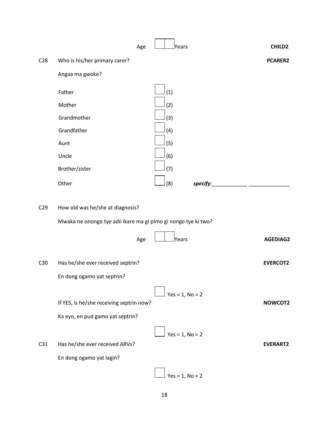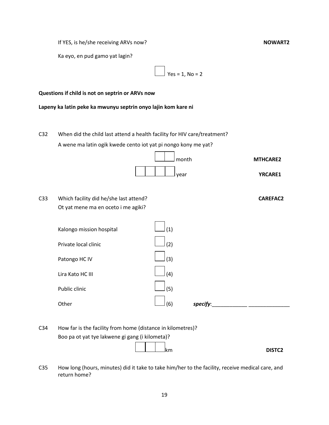If YES, is he/she receiving ARVs now?<br>
NOWART2

Ka eyo, en pud gamo yat lagin?

$$
\boxed{\phantom{1}}
$$
 Yes = 1, No = 2

#### **Questions if child is not on septrin or ARVs now**

**Lapeny ka latin peke ka mwunyu septrin onyo lajin kom kare ni**

C32 When did the child last attend a health facility for HIV care/treatment? A wene ma latin ogik kwede cento iot yat pi nongo kony me yat?



C33 Which facility did he/she last attend? **CAREFAC2** Ot yat mene ma en oceto i me agiki?

| Kalongo mission hospital | (1) |          |  |
|--------------------------|-----|----------|--|
| Private local clinic     | (2) |          |  |
| Patongo HC IV            | (3) |          |  |
| Lira Kato HC III         | (4) |          |  |
| Public clinic            | (5) |          |  |
| Other                    | (6) | specify: |  |

| C34 | How far is the facility from home (distance in kilometres)? |
|-----|-------------------------------------------------------------|
|     | Boo pa ot yat tye lakwene gi gang (i kilometa)?             |
|     | 11111                                                       |

km **DISTC2**

C35 How long (hours, minutes) did it take to take him/her to the facility, receive medical care, and return home?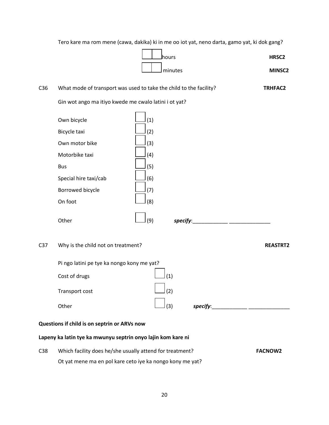Tero kare ma rom mene (cawa, dakika) ki in me oo iot yat, neno darta, gamo yat, ki dok gang?

 hours **HRSC2** minutes **MINSC2**

| C <sub>36</sub> |                                                                                                                                       | What mode of transport was used to take the child to the facility? | <b>TRHFAC2</b>  |
|-----------------|---------------------------------------------------------------------------------------------------------------------------------------|--------------------------------------------------------------------|-----------------|
|                 | Gin wot ango ma itiyo kwede me cwalo latini i ot yat?                                                                                 |                                                                    |                 |
|                 | Own bicycle<br>Bicycle taxi<br>Own motor bike<br>Motorbike taxi<br><b>Bus</b><br>Special hire taxi/cab<br>Borrowed bicycle<br>On foot | (1)<br>(2)<br>(3)<br>(4)<br>(5)<br>(6)<br>(7)<br>(8)               |                 |
|                 | Other                                                                                                                                 | (9)<br>specify:                                                    |                 |
| C <sub>37</sub> | Why is the child not on treatment?                                                                                                    |                                                                    | <b>REASTRT2</b> |
|                 | Pi ngo latini pe tye ka nongo kony me yat?<br>Cost of drugs<br>Transport cost<br>Other                                                | (1)<br>(2)<br>(3)<br>specify:                                      |                 |
|                 | Questions if child is on septrin or ARVs now                                                                                          |                                                                    |                 |
|                 | Lapeny ka latin tye ka mwunyu septrin onyo lajin kom kare ni                                                                          |                                                                    |                 |
| C38             |                                                                                                                                       | Which facility does he/she usually attend for treatment?           | <b>FACNOW2</b>  |

Ot yat mene ma en pol kare ceto iye ka nongo kony me yat?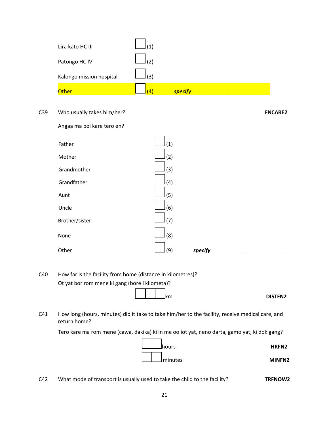| Lira kato HC III         | (1) |          |
|--------------------------|-----|----------|
| Patongo HC IV            | (2) |          |
| Kalongo mission hospital | (3) |          |
| Other                    | (4) | specify: |

### C39 Who usually takes him/her? **FNCARE2**

Angaa ma pol kare tero en?

| (1)<br>Mother<br>(2)<br>Grandmother<br>(3)<br>Grandfather<br>(4)<br>(5)<br>Aunt<br>Uncle<br>(6)<br>Brother/sister<br>(7)<br>(8)<br>None<br>Other<br>(9)<br>specify: |        |  |  |
|---------------------------------------------------------------------------------------------------------------------------------------------------------------------|--------|--|--|
|                                                                                                                                                                     | Father |  |  |
|                                                                                                                                                                     |        |  |  |
|                                                                                                                                                                     |        |  |  |
|                                                                                                                                                                     |        |  |  |
|                                                                                                                                                                     |        |  |  |
|                                                                                                                                                                     |        |  |  |
|                                                                                                                                                                     |        |  |  |
|                                                                                                                                                                     |        |  |  |
|                                                                                                                                                                     |        |  |  |

C40 How far is the facility from home (distance in kilometres)? Ot yat bor rom mene ki gang (bore i kilometa)?

# **km** DISTFN2

C41 How long (hours, minutes) did it take to take him/her to the facility, receive medical care, and return home?

Tero kare ma rom mene (cawa, dakika) ki in me oo iot yat, neno darta, gamo yat, ki dok gang?



C42 What mode of transport is usually used to take the child to the facility? **TRFNOW2**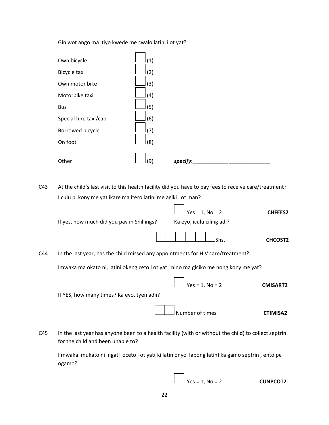Gin wot ango ma itiyo kwede me cwalo latini i ot yat?



C43 At the child's last visit to this health facility did you have to pay fees to receive care/treatment? I culu pi kony me yat ikare ma itero latini me agiki i ot man?

Yes = 1, No = 2 **CHFEES2** If yes, how much did you pay in Shillings? Ka eyo, iculu ciling adi? Shs. **CHCOST2** C44 In the last year, has the child missed any appointments for HIV care/treatment? Imwaka ma okato ni, latini okeng ceto i ot yat i nino ma giciko me nong kony me yat? Yes = 1, No = 2 **CMISART2** If YES, how many times? Ka eyo, tyen adii? Number of times **CTIMISA2**

C45 In the last year has anyone been to a health facility (with or without the child) to collect septrin for the child and been unable to?

I mwaka mukato ni ngati oceto i ot yat( ki latin onyo labong latin) ka gamo septrin , ento pe ogamo?

Yes = 1, No = 2 **CUNPCOT2**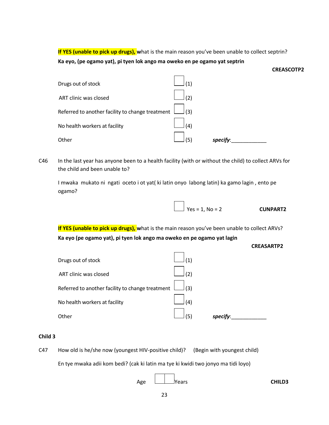**If YES (unable to pick up drugs), w**hat is the main reason you've been unable to collect septrin? **Ka eyo, (pe ogamo yat), pi tyen lok ango ma oweko en pe ogamo yat septrin**

| Drugs out of stock    |                                                  |     |         |  |
|-----------------------|--------------------------------------------------|-----|---------|--|
| ART clinic was closed |                                                  | (2) |         |  |
|                       | Referred to another facility to change treatment | (3) |         |  |
|                       | No health workers at facility                    | (4) |         |  |
| Other                 |                                                  | (5) | specify |  |

C46 In the last year has anyone been to a health facility (with or without the child) to collect ARVs for the child and been unable to?

I mwaka mukato ni ngati oceto i ot yat( ki latin onyo labong latin) ka gamo lagin , ento pe ogamo?

| $\angle$ Yes = 1, No = 2 | <b>CUNPART2</b> |
|--------------------------|-----------------|

**If YES (unable to pick up drugs), w**hat is the main reason you've been unable to collect ARVs? **Ka eyo (pe ogamo yat), pi tyen lok ango ma oweko en pe ogamo yat lagin**

| <b>CREASARTP2</b> |
|-------------------|
|-------------------|

**CREASCOTP2**

| Drugs out of stock                               |     |          |
|--------------------------------------------------|-----|----------|
| ART clinic was closed                            | ' כ |          |
| Referred to another facility to change treatment | (3) |          |
| No health workers at facility                    | (4) |          |
| Other                                            | Έ,  | specify: |

#### **Child 3**

C47 How old is he/she now (youngest HIV-positive child)? (Begin with youngest child)

En tye mwaka adii kom bedi? (cak ki latin ma tye ki kwidi two jonyo ma tidi loyo)

 $\Gamma$ 

| Age | <b>CHILD3</b> |
|-----|---------------|
|     |               |

 $\overline{\phantom{a}}$  $\overline{\phantom{0}}$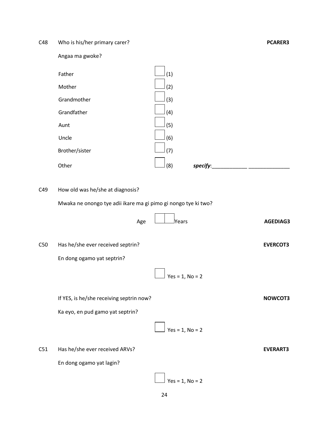C48 Who is his/her primary carer? **PCARER3**

Angaa ma gwoke?



# C49 How old was he/she at diagnosis?

Mwaka ne onongo tye adii ikare ma gi pimo gi nongo tye ki two?

|     | Age                                      | lYears            | <b>AGEDIAG3</b> |
|-----|------------------------------------------|-------------------|-----------------|
| C50 | Has he/she ever received septrin?        |                   | <b>EVERCOT3</b> |
|     | En dong ogamo yat septrin?               |                   |                 |
|     |                                          | $Yes = 1, No = 2$ |                 |
|     | If YES, is he/she receiving septrin now? |                   | NOWCOT3         |
|     | Ka eyo, en pud gamo yat septrin?         |                   |                 |
|     |                                          | $Yes = 1, No = 2$ |                 |
| C51 | Has he/she ever received ARVs?           |                   | <b>EVERART3</b> |
|     | En dong ogamo yat lagin?                 |                   |                 |
|     |                                          | $Yes = 1, No = 2$ |                 |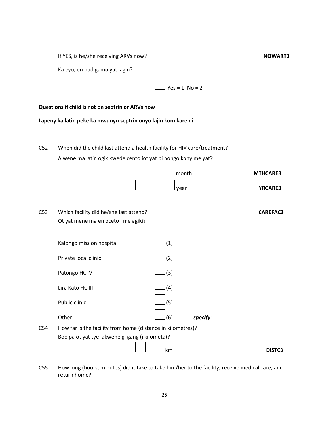If YES, is he/she receiving ARVs now?<br>
NOWART3

Ka eyo, en pud gamo yat lagin?

 $Yes = 1, No = 2$ 

#### **Questions if child is not on septrin or ARVs now**

**Lapeny ka latin peke ka mwunyu septrin onyo lajin kom kare ni**

C52 When did the child last attend a health facility for HIV care/treatment? A wene ma latin ogik kwede cento iot yat pi nongo kony me yat?



C53 Which facility did he/she last attend? **CAREFAC3** Ot yat mene ma en oceto i me agiki?



C55 How long (hours, minutes) did it take to take him/her to the facility, receive medical care, and return home?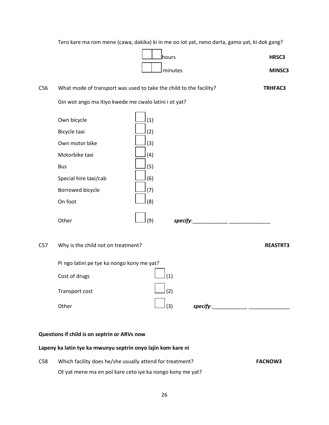Tero kare ma rom mene (cawa, dakika) ki in me oo iot yat, neno darta, gamo yat, ki dok gang?

 hours **HRSC3** minutes **MINSC3**

| C56 |                                                                                                                                       | What mode of transport was used to take the child to the facility?             | <b>TRHFAC3</b>  |
|-----|---------------------------------------------------------------------------------------------------------------------------------------|--------------------------------------------------------------------------------|-----------------|
|     | Gin wot ango ma itiyo kwede me cwalo latini i ot yat?                                                                                 |                                                                                |                 |
|     | Own bicycle<br>Bicycle taxi<br>Own motor bike<br>Motorbike taxi<br><b>Bus</b><br>Special hire taxi/cab<br>Borrowed bicycle<br>On foot | (1)<br>(2)<br>(3)<br>(4)<br>(5)<br>(6)<br>(7)<br>(8)                           |                 |
|     | Other                                                                                                                                 | (9)<br>specify:<br><u> 1980 - Jan James James Barbara, president politik (</u> |                 |
| C57 | Why is the child not on treatment?<br>Pi ngo latini pe tye ka nongo kony me yat?<br>Cost of drugs<br>Transport cost<br>Other          | (1)<br>(2)<br>(3)<br>specify:                                                  | <b>REASTRT3</b> |
|     |                                                                                                                                       |                                                                                |                 |

# **Questions if child is on septrin or ARVs now**

# **Lapeny ka latin tye ka mwunyu septrin onyo lajin kom kare ni**

C58 Which facility does he/she usually attend for treatment? **FACNOW3** Ot yat mene ma en pol kare ceto iye ka nongo kony me yat?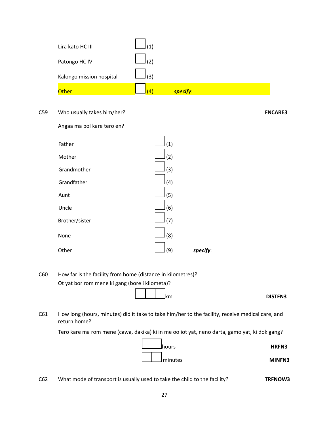| Lira kato HC III         | (1) |          |
|--------------------------|-----|----------|
| Patongo HC IV            | (2) |          |
| Kalongo mission hospital | (3) |          |
| Other                    | (4) | specify: |

#### C59 Who usually takes him/her? **FNCARE3**

Angaa ma pol kare tero en?

| (1)<br>Mother<br>(2)<br>Grandmother<br>(3)<br>Grandfather<br>(4)<br>(5)<br>Aunt<br>Uncle<br>(6)<br>Brother/sister<br>(7)<br>(8)<br>None<br>Other<br>(9)<br>specify: |        |  |  |
|---------------------------------------------------------------------------------------------------------------------------------------------------------------------|--------|--|--|
|                                                                                                                                                                     | Father |  |  |
|                                                                                                                                                                     |        |  |  |
|                                                                                                                                                                     |        |  |  |
|                                                                                                                                                                     |        |  |  |
|                                                                                                                                                                     |        |  |  |
|                                                                                                                                                                     |        |  |  |
|                                                                                                                                                                     |        |  |  |
|                                                                                                                                                                     |        |  |  |
|                                                                                                                                                                     |        |  |  |

C60 How far is the facility from home (distance in kilometres)? Ot yat bor rom mene ki gang (bore i kilometa)?

# **km** DISTFN3

C61 How long (hours, minutes) did it take to take him/her to the facility, receive medical care, and return home?

Tero kare ma rom mene (cawa, dakika) ki in me oo iot yat, neno darta, gamo yat, ki dok gang?



C62 What mode of transport is usually used to take the child to the facility? **TRFNOW3**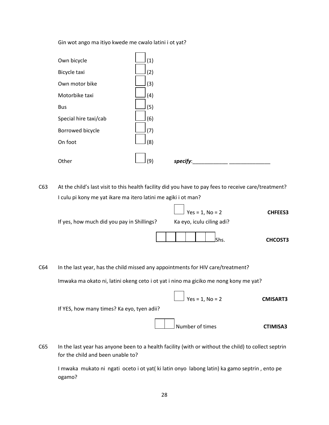Gin wot ango ma itiyo kwede me cwalo latini i ot yat?



C63 At the child's last visit to this health facility did you have to pay fees to receive care/treatment? I culu pi kony me yat ikare ma itero latini me agiki i ot man?

|                                            | $\boxed{\phantom{1}}$ Yes = 1, No = 2 | <b>CHFEES3</b> |
|--------------------------------------------|---------------------------------------|----------------|
| If yes, how much did you pay in Shillings? | Ka eyo, iculu ciling adi?             |                |
|                                            |                                       | <b>CHCOST3</b> |

 $\Box$  $\overline{\phantom{0}}$ 

C64 In the last year, has the child missed any appointments for HIV care/treatment? Imwaka ma okato ni, latini okeng ceto i ot yat i nino ma giciko me nong kony me yat?

| <b>CMISART3</b> | $\boxed{\phantom{1}}$ Yes = 1, No = 2      |  |
|-----------------|--------------------------------------------|--|
|                 | If YES, how many times? Ka eyo, tyen adii? |  |
| <b>CTIMISA3</b> | Number of times                            |  |

C65 In the last year has anyone been to a health facility (with or without the child) to collect septrin for the child and been unable to?

I mwaka mukato ni ngati oceto i ot yat( ki latin onyo labong latin) ka gamo septrin , ento pe ogamo?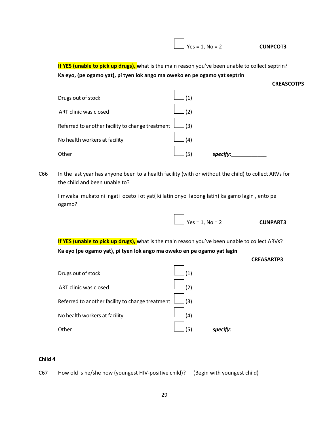Yes = 1, No = 2 **CUNPCOT3**

 $\sum$  Yes = 1, No = 2 **CUNPART3** 

**If YES (unable to pick up drugs), w**hat is the main reason you've been unable to collect septrin? **Ka eyo, (pe ogamo yat), pi tyen lok ango ma oweko en pe ogamo yat septrin**



C66 In the last year has anyone been to a health facility (with or without the child) to collect ARVs for the child and been unable to?

I mwaka mukato ni ngati oceto i ot yat( ki latin onyo labong latin) ka gamo lagin , ento pe ogamo?

**If YES (unable to pick up drugs), w**hat is the main reason you've been unable to collect ARVs? **Ka eyo (pe ogamo yat), pi tyen lok ango ma oweko en pe ogamo yat lagin**

| <b>CREASARTP3</b> |
|-------------------|
|                   |

| Drugs out of stock                               | $\left( 1\right)$ |          |
|--------------------------------------------------|-------------------|----------|
| ART clinic was closed                            | (2)               |          |
| Referred to another facility to change treatment | (3)               |          |
| No health workers at facility                    | (4)               |          |
| Other                                            | (5)               | specify: |

#### **Child 4**

C67 How old is he/she now (youngest HIV-positive child)? (Begin with youngest child)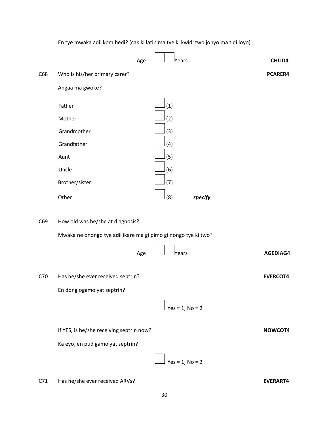|     |                                                                | En tye mwaka adii kom bedi? (cak ki latin ma tye ki kwidi two jonyo ma tidi loyo) |                 |
|-----|----------------------------------------------------------------|-----------------------------------------------------------------------------------|-----------------|
|     | Age                                                            | <b>Years</b>                                                                      | CHILD4          |
| C68 | Who is his/her primary carer?                                  |                                                                                   | PCARER4         |
|     | Angaa ma gwoke?                                                |                                                                                   |                 |
|     |                                                                |                                                                                   |                 |
|     | Father                                                         | (1)                                                                               |                 |
|     | Mother                                                         | (2)                                                                               |                 |
|     | Grandmother                                                    | (3)                                                                               |                 |
|     | Grandfather                                                    | (4)                                                                               |                 |
|     | Aunt                                                           | (5)                                                                               |                 |
|     | Uncle                                                          | (6)                                                                               |                 |
|     | Brother/sister                                                 | (7)                                                                               |                 |
|     | Other                                                          | (8)<br>specify:                                                                   |                 |
| C69 | How old was he/she at diagnosis?                               |                                                                                   |                 |
|     | Mwaka ne onongo tye adii ikare ma gi pimo gi nongo tye ki two? |                                                                                   |                 |
|     |                                                                |                                                                                   |                 |
|     | Age                                                            | Years                                                                             | AGEDIAG4        |
| C70 | Has he/she ever received septrin?                              |                                                                                   | <b>EVERCOT4</b> |
|     | En dong ogamo yat septrin?                                     |                                                                                   |                 |
|     |                                                                | $Yes = 1, No = 2$                                                                 |                 |
|     |                                                                |                                                                                   |                 |
|     | If YES, is he/she receiving septrin now?                       |                                                                                   | NOWCOT4         |
|     | Ka eyo, en pud gamo yat septrin?                               |                                                                                   |                 |
|     |                                                                | $Yes = 1, No = 2$                                                                 |                 |
| C71 | Has he/she ever received ARVs?                                 |                                                                                   | <b>EVERART4</b> |

30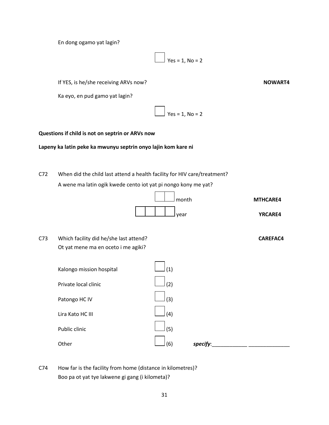En dong ogamo yat lagin?

 $\vert$  Yes = 1, No = 2

If YES, is he/she receiving ARVs now?<br>
NOWART4

Ka eyo, en pud gamo yat lagin?

 $Yes = 1, No = 2$ 

#### **Questions if child is not on septrin or ARVs now**

#### **Lapeny ka latin peke ka mwunyu septrin onyo lajin kom kare ni**

C72 When did the child last attend a health facility for HIV care/treatment? A wene ma latin ogik kwede cento iot yat pi nongo kony me yat?



C73 Which facility did he/she last attend? **CAREFAC4** Ot yat mene ma en oceto i me agiki?

| Kalongo mission hospital | (1) |          |  |
|--------------------------|-----|----------|--|
| Private local clinic     | (2) |          |  |
| Patongo HC IV            | (3) |          |  |
| Lira Kato HC III         | (4) |          |  |
| Public clinic            | (5) |          |  |
| Other                    | (6) | specify: |  |

C74 How far is the facility from home (distance in kilometres)? Boo pa ot yat tye lakwene gi gang (i kilometa)?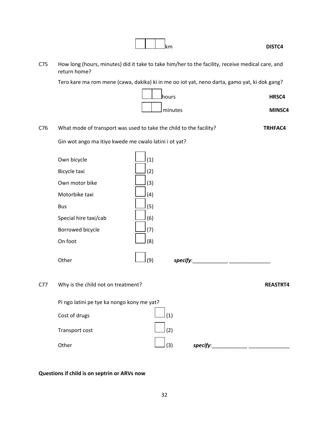| C <sub>75</sub> | return home?                                          | How long (hours, minutes) did it take to take him/her to the facility, receive medical care, and |                 |
|-----------------|-------------------------------------------------------|--------------------------------------------------------------------------------------------------|-----------------|
|                 |                                                       | Tero kare ma rom mene (cawa, dakika) ki in me oo iot yat, neno darta, gamo yat, ki dok gang?     |                 |
|                 |                                                       | lhours                                                                                           | HRSC4           |
|                 |                                                       | minutes                                                                                          | MINSC4          |
| C76             |                                                       | What mode of transport was used to take the child to the facility?                               | <b>TRHFAC4</b>  |
|                 | Gin wot ango ma itiyo kwede me cwalo latini i ot yat? |                                                                                                  |                 |
|                 | Own bicycle                                           | (1)                                                                                              |                 |
|                 | Bicycle taxi                                          | (2)                                                                                              |                 |
|                 | Own motor bike                                        | (3)                                                                                              |                 |
|                 | Motorbike taxi                                        | (4)                                                                                              |                 |
|                 | <b>Bus</b>                                            | (5)                                                                                              |                 |
|                 | Special hire taxi/cab                                 | (6)                                                                                              |                 |
|                 | Borrowed bicycle                                      | (7)                                                                                              |                 |
|                 | On foot                                               | (8)                                                                                              |                 |
|                 | Other                                                 | (9)<br>specify:                                                                                  |                 |
| C77             | Why is the child not on treatment?                    |                                                                                                  | <b>REASTRT4</b> |
|                 | Pi ngo latini pe tye ka nongo kony me yat?            |                                                                                                  |                 |
|                 | Cost of drugs                                         | (1)                                                                                              |                 |
|                 | Transport cost                                        | (2)                                                                                              |                 |
|                 | Other                                                 | (3)<br>specify: specify:                                                                         |                 |

**km** DISTC4

# **Questions if child is on septrin or ARVs now**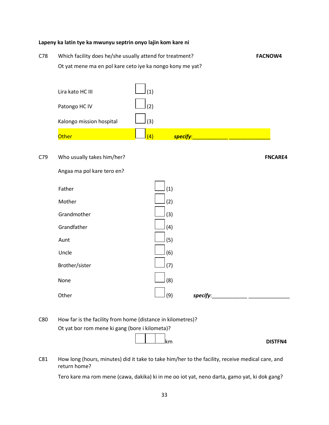#### **Lapeny ka latin tye ka mwunyu septrin onyo lajin kom kare ni**

C78 Which facility does he/she usually attend for treatment? **FACNOW4** Ot yat mene ma en pol kare ceto iye ka nongo kony me yat?

| Lira kato HC III         | (1)               |          |
|--------------------------|-------------------|----------|
| Patongo HC IV            | (2)               |          |
| Kalongo mission hospital | (3)               |          |
| <b>Other</b>             | $\left( 4\right)$ | specify: |

C79 Who usually takes him/her? **FNCARE4**

Angaa ma pol kare tero en?

| Father         | (1) |          |  |
|----------------|-----|----------|--|
| Mother         | (2) |          |  |
| Grandmother    | (3) |          |  |
| Grandfather    | (4) |          |  |
| Aunt           | (5) |          |  |
| Uncle          | (6) |          |  |
| Brother/sister | (7) |          |  |
| None           | (8) |          |  |
| Other          | (9) | specify: |  |

C80 How far is the facility from home (distance in kilometres)? Ot yat bor rom mene ki gang (bore i kilometa)?

**km** DISTFN4

C81 How long (hours, minutes) did it take to take him/her to the facility, receive medical care, and return home?

Tero kare ma rom mene (cawa, dakika) ki in me oo iot yat, neno darta, gamo yat, ki dok gang?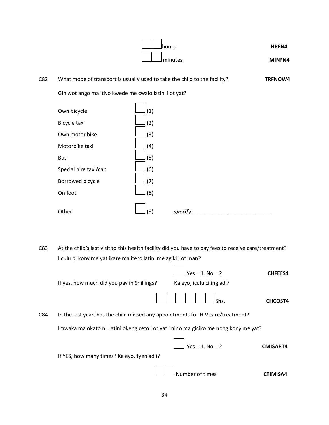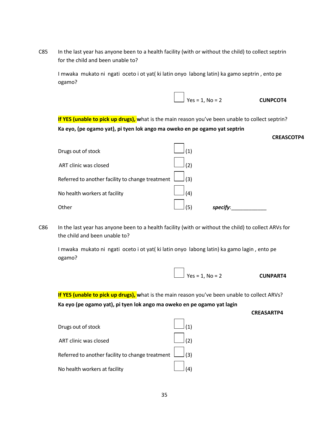C85 In the last year has anyone been to a health facility (with or without the child) to collect septrin for the child and been unable to?

I mwaka mukato ni ngati oceto i ot yat( ki latin onyo labong latin) ka gamo septrin , ento pe ogamo?



**If YES (unable to pick up drugs), w**hat is the main reason you've been unable to collect septrin? **Ka eyo, (pe ogamo yat), pi tyen lok ango ma oweko en pe ogamo yat septrin**

| Drugs out of stock                               |     |          |
|--------------------------------------------------|-----|----------|
| ART clinic was closed                            | (2) |          |
| Referred to another facility to change treatment | (3) |          |
| No health workers at facility                    | (4) |          |
| Other                                            | (5) | specify: |

C86 In the last year has anyone been to a health facility (with or without the child) to collect ARVs for the child and been unable to?

I mwaka mukato ni ngati oceto i ot yat( ki latin onyo labong latin) ka gamo lagin , ento pe ogamo?

| $\angle$ Yes = 1, No = 2 | <b>CUNPART4</b> |
|--------------------------|-----------------|

**If YES (unable to pick up drugs), w**hat is the main reason you've been unable to collect ARVs? **Ka eyo (pe ogamo yat), pi tyen lok ango ma oweko en pe ogamo yat lagin**

**CREASARTP4**

**CREASCOTP4**

| Drugs out of stock                                          |  |
|-------------------------------------------------------------|--|
| ART clinic was closed                                       |  |
| Referred to another facility to change treatment $\Box$ (3) |  |
| No health workers at facility                               |  |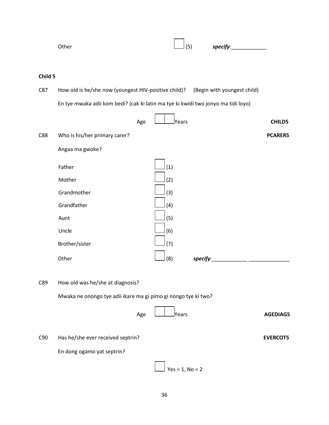|         | Other                                                                             |     | (5)               | specify:                    |                 |
|---------|-----------------------------------------------------------------------------------|-----|-------------------|-----------------------------|-----------------|
|         |                                                                                   |     |                   |                             |                 |
| Child 5 |                                                                                   |     |                   |                             |                 |
| C87     | How old is he/she now (youngest HIV-positive child)?                              |     |                   | (Begin with youngest child) |                 |
|         | En tye mwaka adii kom bedi? (cak ki latin ma tye ki kwidi two jonyo ma tidi loyo) |     |                   |                             |                 |
|         |                                                                                   | Age | <b>Pears</b>      |                             | <b>CHILD5</b>   |
| C88     | Who is his/her primary carer?                                                     |     |                   |                             | <b>PCARER5</b>  |
|         | Angaa ma gwoke?                                                                   |     |                   |                             |                 |
|         | Father                                                                            |     | (1)               |                             |                 |
|         | Mother                                                                            |     | (2)               |                             |                 |
|         | Grandmother                                                                       |     | (3)               |                             |                 |
|         | Grandfather                                                                       |     | (4)               |                             |                 |
|         | Aunt                                                                              |     | (5)               |                             |                 |
|         | Uncle                                                                             |     | (6)               |                             |                 |
|         | Brother/sister                                                                    |     | (7)               |                             |                 |
|         | Other                                                                             |     | (8)               | specify:                    |                 |
|         |                                                                                   |     |                   |                             |                 |
| C89     | How old was he/she at diagnosis?                                                  |     |                   |                             |                 |
|         | Mwaka ne onongo tye adii ikare ma gi pimo gi nongo tye ki two?                    |     |                   |                             |                 |
|         |                                                                                   | Age | <b>Years</b>      |                             | AGEDIAG5        |
| C90     | Has he/she ever received septrin?                                                 |     |                   |                             | <b>EVERCOT5</b> |
|         | En dong ogamo yat septrin?                                                        |     |                   |                             |                 |
|         |                                                                                   |     | $Yes = 1, No = 2$ |                             |                 |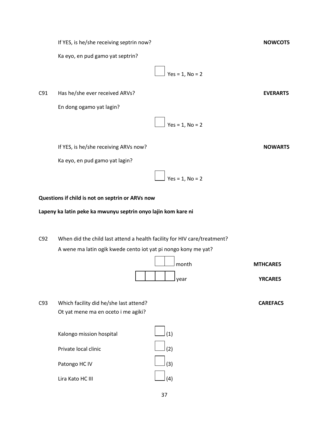If YES, is he/she receiving septrin now?<br>
NOWCOT5

Ka eyo, en pud gamo yat septrin?



C91 Has he/she ever received ARVs? **EVERART5**

En dong ogamo yat lagin?

 $Yes = 1, No = 2$ 

 $\vert$  Yes = 1, No = 2

If YES, is he/she receiving ARVs now?<br>
NOWART5

Ka eyo, en pud gamo yat lagin?

**Questions if child is not on septrin or ARVs now**

**Lapeny ka latin peke ka mwunyu septrin onyo lajin kom kare ni**

C92 When did the child last attend a health facility for HIV care/treatment? A wene ma latin ogik kwede cento iot yat pi nongo kony me yat?



| C93 | Which facility did he/she last attend? |
|-----|----------------------------------------|
|     | Ot yat mene ma en oceto i me agiki?    |

| Kalongo mission hospital | $\Box$ (1)                                  |  |
|--------------------------|---------------------------------------------|--|
| Private local clinic     | $\lfloor$ (2)                               |  |
| Patongo HC IV            | $\lfloor$ (3)                               |  |
| Lira Kato HC III         | $\begin{bmatrix} 1 & 1 \end{bmatrix}_{(4)}$ |  |

month **MTHCARE5**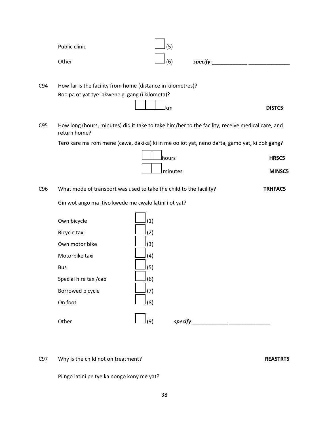|     | Public clinic                                                                                                    | (5)               |          |          |                |
|-----|------------------------------------------------------------------------------------------------------------------|-------------------|----------|----------|----------------|
|     | Other                                                                                                            | (6)               |          | specify: |                |
| C94 | How far is the facility from home (distance in kilometres)?<br>Boo pa ot yat tye lakwene gi gang (i kilometa)?   | lkm               |          |          | DISTC5         |
| C95 | How long (hours, minutes) did it take to take him/her to the facility, receive medical care, and<br>return home? |                   |          |          |                |
|     | Tero kare ma rom mene (cawa, dakika) ki in me oo iot yat, neno darta, gamo yat, ki dok gang?                     |                   |          |          |                |
|     |                                                                                                                  | lhours            |          |          | HRSC5          |
|     |                                                                                                                  |                   | minutes  |          | <b>MINSC5</b>  |
| C96 | What mode of transport was used to take the child to the facility?                                               |                   |          |          | <b>TRHFAC5</b> |
|     | Gin wot ango ma itiyo kwede me cwalo latini i ot yat?                                                            |                   |          |          |                |
|     | Own bicycle<br>Bicycle taxi<br>Own motor bike                                                                    | (1)<br>(2)<br>(3) |          |          |                |
|     | Motorbike taxi                                                                                                   | (4)               |          |          |                |
|     | <b>Bus</b>                                                                                                       | (5)               |          |          |                |
|     | Special hire taxi/cab                                                                                            | (6)               |          |          |                |
|     | Borrowed bicycle                                                                                                 | (7)               |          |          |                |
|     | On foot                                                                                                          | (8)               |          |          |                |
|     | Other                                                                                                            | (9)               | specify: |          |                |

C97 Why is the child not on treatment? **REASTRT5**

Pi ngo latini pe tye ka nongo kony me yat?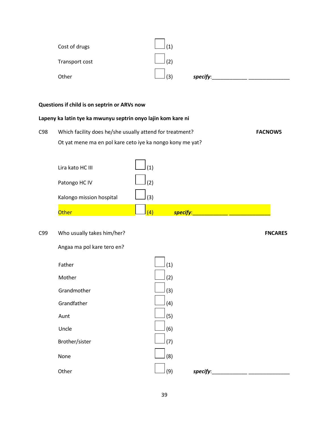| Cost of drugs  | (1) |          |  |
|----------------|-----|----------|--|
| Transport cost | (2) |          |  |
| Other          | (3) | specify: |  |

#### **Questions if child is on septrin or ARVs now**

## **Lapeny ka latin tye ka mwunyu septrin onyo lajin kom kare ni**

C98 Which facility does he/she usually attend for treatment? **FACNOW5** Ot yat mene ma en pol kare ceto iye ka nongo kony me yat?

| Lira kato HC III         | (1) |          |
|--------------------------|-----|----------|
| Patongo HC IV            | (2) |          |
| Kalongo mission hospital | (3) |          |
| Other                    | (4) | specify: |

# C99 Who usually takes him/her? **FNCARE5**

Angaa ma pol kare tero en?

| Father         | (1) |
|----------------|-----|
| Mother         | (2) |
| Grandmother    | (3) |
| Grandfather    | (4) |
| Aunt           | (5) |
| Uncle          | (6) |
| Brother/sister | (7) |
| None           | (8) |
|                |     |
| Other          | (9) |

Other (9) *specify*:\_\_\_\_\_\_\_\_\_\_\_\_ \_\_\_\_\_\_\_\_\_\_\_\_\_\_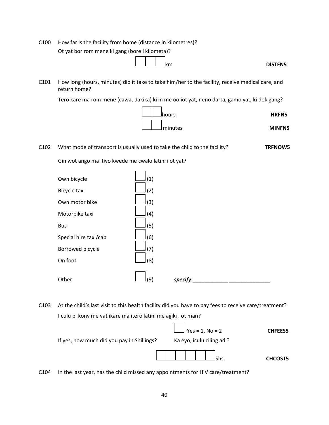C100 How far is the facility from home (distance in kilometres)? Ot yat bor rom mene ki gang (bore i kilometa)?

$$
\begin{array}{|c|c|c|}\n\hline\n\textbf{1} & \textbf{1} & \textbf{2} & \textbf{3} \\
\hline\n\textbf{2} & \textbf{3} & \textbf{4} & \textbf{5} \\
\hline\n\textbf{4} & \textbf{5} & \textbf{6} & \textbf{6} \\
\hline\n\textbf{5} & \textbf{6} & \textbf{7} & \textbf{8} \\
\hline\n\textbf{6} & \textbf{7} & \textbf{8} & \textbf{9} & \textbf{1} \\
\hline\n\textbf{7} & \textbf{8} & \textbf{9} & \textbf{1} & \textbf{1} \\
\hline\n\textbf{8} & \textbf{1} & \textbf{1} & \textbf{1} & \textbf{1} \\
\hline\n\textbf{1} & \textbf{1} & \textbf{1} & \textbf{1} & \textbf{1} \\
\hline\n\textbf{1} & \textbf{1} & \textbf{1} & \textbf{1} & \textbf{1} \\
\hline\n\textbf{2} & \textbf{1} & \textbf{1} & \textbf{1} & \textbf{1} \\
\hline\n\textbf{3} & \textbf{1} & \textbf{1} & \textbf{1} & \textbf{1} \\
\hline\n\textbf{4} & \textbf{1} & \textbf{1} & \textbf{1} & \textbf{1} \\
\hline\n\textbf{5} & \textbf{1} & \textbf{1} & \textbf{1} & \textbf{1} \\
\hline\n\textbf{5} & \textbf{1} & \textbf{1} & \textbf{1} & \textbf{1} \\
\hline\n\textbf{6} & \textbf{1} & \textbf{1} & \textbf{1} & \textbf{1} \\
\hline\n\textbf{7} & \textbf{1} & \textbf{1} & \textbf{1} & \textbf{1} \\
\hline\n\textbf{8} & \textbf{1} & \textbf{1} &
$$

C101 How long (hours, minutes) did it take to take him/her to the facility, receive medical care, and return home?

Tero kare ma rom mene (cawa, dakika) ki in me oo iot yat, neno darta, gamo yat, ki dok gang?



C102 What mode of transport is usually used to take the child to the facility? **TRFNOW5**

Gin wot ango ma itiyo kwede me cwalo latini i ot yat?

| Own bicycle           | (1) |          |  |
|-----------------------|-----|----------|--|
| Bicycle taxi          | (2) |          |  |
| Own motor bike        | (3) |          |  |
| Motorbike taxi        | (4) |          |  |
| <b>Bus</b>            | (5) |          |  |
| Special hire taxi/cab | (6) |          |  |
| Borrowed bicycle      | (7) |          |  |
| On foot               | (8) |          |  |
| Other                 | (9) | specify: |  |

C103 At the child's last visit to this health facility did you have to pay fees to receive care/treatment? I culu pi kony me yat ikare ma itero latini me agiki i ot man?



C104 In the last year, has the child missed any appointments for HIV care/treatment?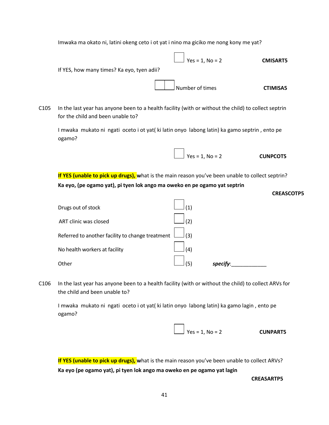Imwaka ma okato ni, latini okeng ceto i ot yat i nino ma giciko me nong kony me yat?

 $\frac{1}{2}$  Yes = 1, No = 2 **CMISART5** If YES, how many times? Ka eyo, tyen adii? Number of times **CTIMISA5** C105 In the last year has anyone been to a health facility (with or without the child) to collect septrin for the child and been unable to?

I mwaka mukato ni ngati oceto i ot yat( ki latin onyo labong latin) ka gamo septrin , ento pe ogamo?



**If YES (unable to pick up drugs), w**hat is the main reason you've been unable to collect septrin? **Ka eyo, (pe ogamo yat), pi tyen lok ango ma oweko en pe ogamo yat septrin**

| Drugs out of stock                               | '1)           |             |
|--------------------------------------------------|---------------|-------------|
| ART clinic was closed                            | (2)           |             |
| Referred to another facility to change treatment | $\rfloor$ (3) |             |
| No health workers at facility                    | (4)           |             |
| Other                                            | '5.           | <b>SDEC</b> |

C106 In the last year has anyone been to a health facility (with or without the child) to collect ARVs for the child and been unable to?

I mwaka mukato ni ngati oceto i ot yat( ki latin onyo labong latin) ka gamo lagin , ento pe ogamo?



**If YES (unable to pick up drugs), w**hat is the main reason you've been unable to collect ARVs? **Ka eyo (pe ogamo yat), pi tyen lok ango ma oweko en pe ogamo yat lagin**

**CREASARTP5**

**CREASCOTP5**